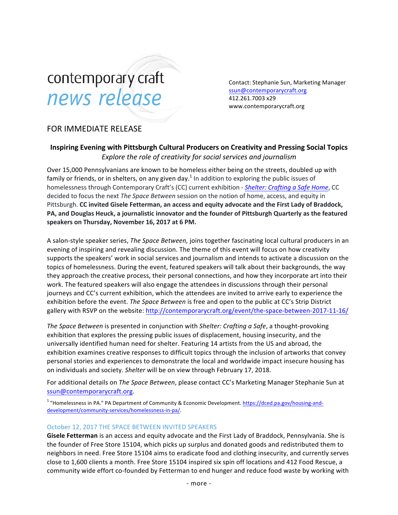# contemporary craft news release

Contact: Stephanie Sun, Marketing Manager ssun@contemporarycraft.org 412.261.7003 x29 www.contemporarycraft.org

## FOR IMMEDIATE RELEASE

### **Inspiring Evening with Pittsburgh Cultural Producers on Creativity and Pressing Social Topics** Explore the role of creativity for social services and journalism

Over 15,000 Pennsylvanians are known to be homeless either being on the streets, doubled up with family or friends, or in shelters, on any given day.<sup>1</sup> In addition to exploring the public issues of homelessness through Contemporary Craft's (CC) current exhibition - *Shelter: Crafting a Safe Home*, CC decided to focus the next The Space Between session on the notion of home, access, and equity in Pittsburgh. CC invited Gisele Fetterman, an access and equity advocate and the First Lady of Braddock, PA, and Douglas Heuck, a journalistic innovator and the founder of Pittsburgh Quarterly as the featured speakers on Thursday, November 16, 2017 at 6 PM.

A salon-style speaker series, *The Space Between*, joins together fascinating local cultural producers in an evening of inspiring and revealing discussion. The theme of this event will focus on how creativity supports the speakers' work in social services and journalism and intends to activate a discussion on the topics of homelessness. During the event, featured speakers will talk about their backgrounds, the way they approach the creative process, their personal connections, and how they incorporate art into their work. The featured speakers will also engage the attendees in discussions through their personal journeys and CC's current exhibition, which the attendees are invited to arrive early to experience the exhibition before the event. *The Space Between* is free and open to the public at CC's Strip District gallery with RSVP on the website: http://contemporarycraft.org/event/the-space-between-2017-11-16/

*The Space Between* is presented in conjunction with *Shelter: Crafting a Safe*, a thought-provoking exhibition that explores the pressing public issues of displacement, housing insecurity, and the universally identified human need for shelter. Featuring 14 artists from the US and abroad, the exhibition examines creative responses to difficult topics through the inclusion of artworks that convey personal stories and experiences to demonstrate the local and worldwide impact insecure housing has on individuals and society. Shelter will be on view through February 17, 2018.

For additional details on *The Space Between*, please contact CC's Marketing Manager Stephanie Sun at ssun@contemporarycraft.org.

<sup>1</sup> "Homelessness in PA." PA Department of Community & Economic Development. https://dced.pa.gov/housing-anddevelopment/community-services/homelessness-in-pa/.

#### October 12, 2017 THE SPACE BETWEEN INVITED SPEAKERS

Gisele Fetterman is an access and equity advocate and the First Lady of Braddock, Pennsylvania. She is the founder of Free Store 15104, which picks up surplus and donated goods and redistributed them to neighbors in need. Free Store 15104 aims to eradicate food and clothing insecurity, and currently serves close to 1,600 clients a month. Free Store 15104 inspired six spin off locations and 412 Food Rescue, a community wide effort co-founded by Fetterman to end hunger and reduce food waste by working with